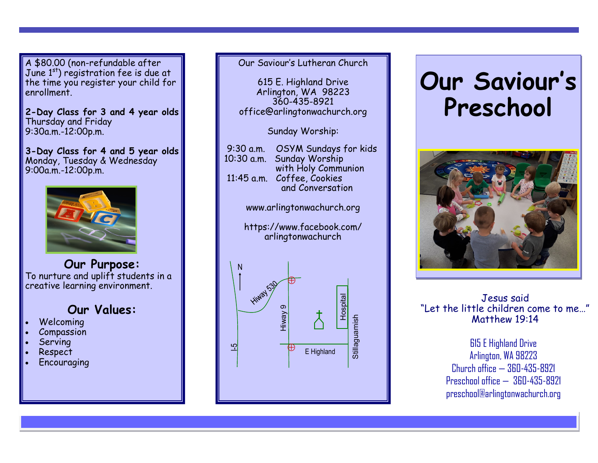A \$80.00 (non-refundable after June 1st) registration fee is due at the time you register your child for enrollment.

**2-Day Class for 3 and 4 year olds** Thursday and Friday 9:30a.m.-12:00p.m.

**3-Day Class for 4 and 5 year olds** Monday, Tuesday & Wednesday 9:00a.m.-12:00p.m.



**Our Purpose:** To nurture and uplift students in a creative learning environment.

**Our Values:**

- **Welcoming**
- **Compassion**
- **Serving**
- Respect
- **Encouraging**

### Our Saviour's Lutheran Church

615 E. Highland Drive Arlington, WA 98223 360-435-8921 office@arlingtonwachurch.org

Sunday Worship:

www.arlingtonwachurch.org

https://www.facebook.com/ arlingtonwachurch



# **Our Saviour' s Preschool**



Jesus said "Let the little children come to me…" Matthew 19:14

> 615 E Highland Drive Arlington, WA 98223 Church office — 360-435-8921 Preschool office — 360-435-8921 preschool@arlingtonwachurch.org